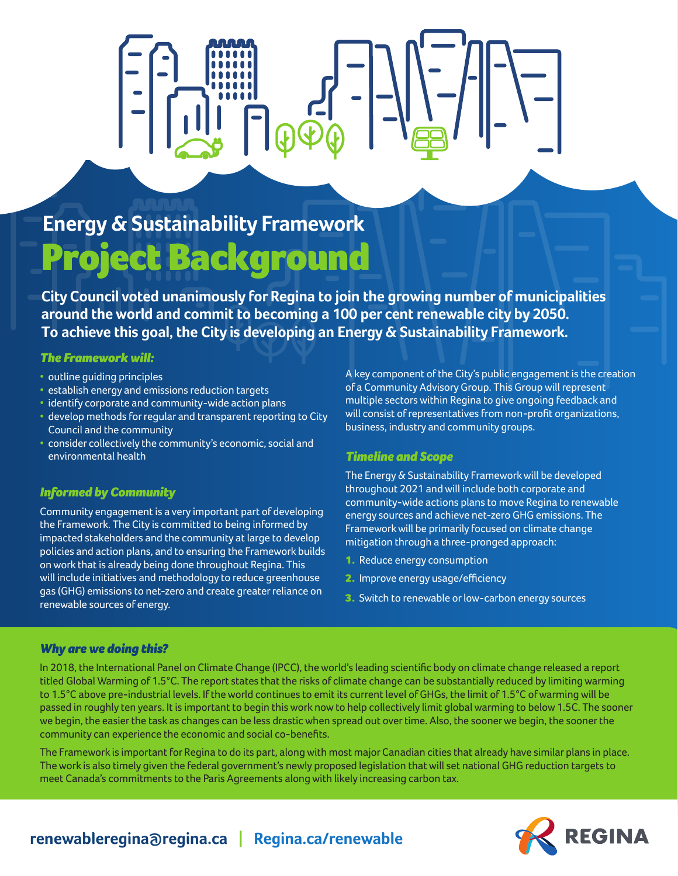## **Energy & Sustainability Framework** Project Background

**City Council voted unanimously for Regina to join the growing number of municipalities around the world and commit to becoming a 100 per cent renewable city by 2050. To achieve this goal, the City is developing an Energy & Sustainability Framework.**

## *The Framework will:*

- outline guiding principles
- establish energy and emissions reduction targets
- identify corporate and community-wide action plans
- develop methods for regular and transparent reporting to City Council and the community
- consider collectively the community's economic, social and environmental health

## *Informed by Community*

Community engagement is a very important part of developing the Framework. The City is committed to being informed by impacted stakeholders and the community at large to develop policies and action plans, and to ensuring the Framework builds on work that is already being done throughout Regina. This will include initiatives and methodology to reduce greenhouse gas (GHG) emissions to net-zero and create greater reliance on renewable sources of energy.

A key component of the City's public engagement is the creation of a Community Advisory Group. This Group will represent multiple sectors within Regina to give ongoing feedback and will consist of representatives from non-profit organizations, business, industry and community groups.

## *Timeline and Scope*

The Energy & Sustainability Framework will be developed throughout 2021 and will include both corporate and community-wide actions plans to move Regina to renewable energy sources and achieve net-zero GHG emissions. The Framework will be primarily focused on climate change mitigation through a three-pronged approach:

- 1. Reduce energy consumption
- 2. Improve energy usage/efficiency
- 3. Switch to renewable or low-carbon energy sources

## *Why are we doing this?*

In 2018, the International Panel on Climate Change (IPCC), the world's leading scientific body on climate change released a report titled Global Warming of 1.5°C. The report states that the risks of climate change can be substantially reduced by limiting warming to 1.5°C above pre-industrial levels. If the world continues to emit its current level of GHGs, the limit of 1.5°C of warming will be passed in roughly ten years. It is important to begin this work now to help collectively limit global warming to below 1.5C. The sooner we begin, the easier the task as changes can be less drastic when spread out over time. Also, the sooner we begin, the sooner the community can experience the economic and social co-benefits.

The Framework is important for Regina to do its part, along with most major Canadian cities that already have similar plans in place. The work is also timely given the federal government's newly proposed legislation that will set national GHG reduction targets to meet Canada's commitments to the Paris Agreements along with likely increasing carbon tax.



## **renewableregina@regina.ca | Regina.ca/renewable**